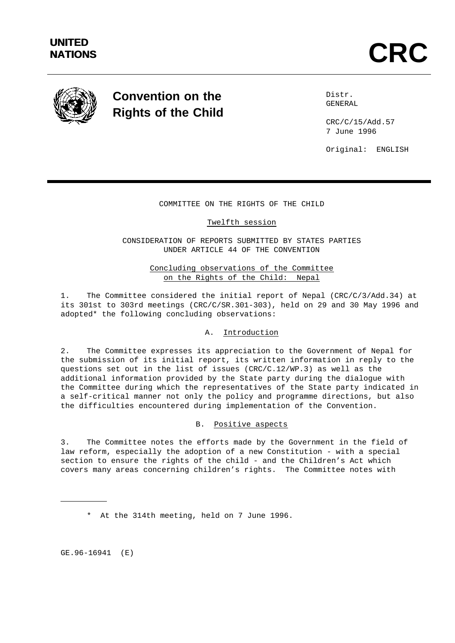

# **Convention on the Rights of the Child**

Distr. GENERAL

CRC/C/15/Add.57 7 June 1996

Original: ENGLISH

## COMMITTEE ON THE RIGHTS OF THE CHILD

#### Twelfth session

CONSIDERATION OF REPORTS SUBMITTED BY STATES PARTIES UNDER ARTICLE 44 OF THE CONVENTION

## Concluding observations of the Committee on the Rights of the Child: Nepal

1. The Committee considered the initial report of Nepal (CRC/C/3/Add.34) at its 301st to 303rd meetings (CRC/C/SR.301-303), held on 29 and 30 May 1996 and adopted\* the following concluding observations:

## A. Introduction

2. The Committee expresses its appreciation to the Government of Nepal for the submission of its initial report, its written information in reply to the questions set out in the list of issues (CRC/C.12/WP.3) as well as the additional information provided by the State party during the dialogue with the Committee during which the representatives of the State party indicated in a self-critical manner not only the policy and programme directions, but also the difficulties encountered during implementation of the Convention.

#### B. Positive aspects

3. The Committee notes the efforts made by the Government in the field of law reform, especially the adoption of a new Constitution - with a special section to ensure the rights of the child - and the Children's Act which covers many areas concerning children's rights. The Committee notes with

GE.96-16941 (E)

<sup>\*</sup> At the 314th meeting, held on 7 June 1996.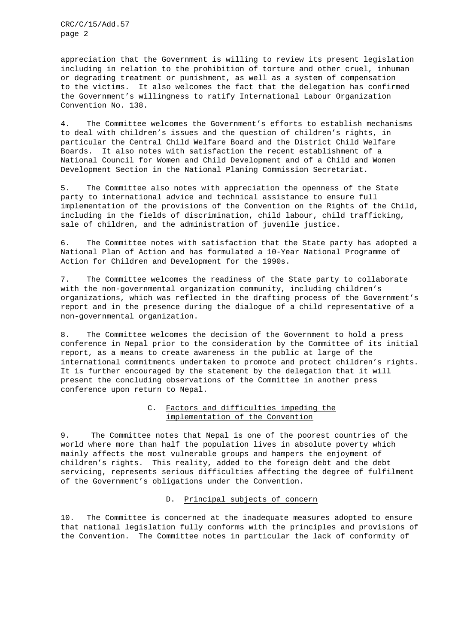CRC/C/15/Add.57 page 2

appreciation that the Government is willing to review its present legislation including in relation to the prohibition of torture and other cruel, inhuman or degrading treatment or punishment, as well as a system of compensation to the victims. It also welcomes the fact that the delegation has confirmed the Government's willingness to ratify International Labour Organization Convention No. 138.

4. The Committee welcomes the Government's efforts to establish mechanisms to deal with children's issues and the question of children's rights, in particular the Central Child Welfare Board and the District Child Welfare Boards. It also notes with satisfaction the recent establishment of a National Council for Women and Child Development and of a Child and Women Development Section in the National Planing Commission Secretariat.

5. The Committee also notes with appreciation the openness of the State party to international advice and technical assistance to ensure full implementation of the provisions of the Convention on the Rights of the Child, including in the fields of discrimination, child labour, child trafficking, sale of children, and the administration of juvenile justice.

6. The Committee notes with satisfaction that the State party has adopted a National Plan of Action and has formulated a 10-Year National Programme of Action for Children and Development for the 1990s.

7. The Committee welcomes the readiness of the State party to collaborate with the non-governmental organization community, including children's organizations, which was reflected in the drafting process of the Government's report and in the presence during the dialogue of a child representative of a non-governmental organization.

8. The Committee welcomes the decision of the Government to hold a press conference in Nepal prior to the consideration by the Committee of its initial report, as a means to create awareness in the public at large of the international commitments undertaken to promote and protect children's rights. It is further encouraged by the statement by the delegation that it will present the concluding observations of the Committee in another press conference upon return to Nepal.

## C. Factors and difficulties impeding the implementation of the Convention

9. The Committee notes that Nepal is one of the poorest countries of the world where more than half the population lives in absolute poverty which mainly affects the most vulnerable groups and hampers the enjoyment of children's rights. This reality, added to the foreign debt and the debt servicing, represents serious difficulties affecting the degree of fulfilment of the Government's obligations under the Convention.

#### D. Principal subjects of concern

10. The Committee is concerned at the inadequate measures adopted to ensure that national legislation fully conforms with the principles and provisions of the Convention. The Committee notes in particular the lack of conformity of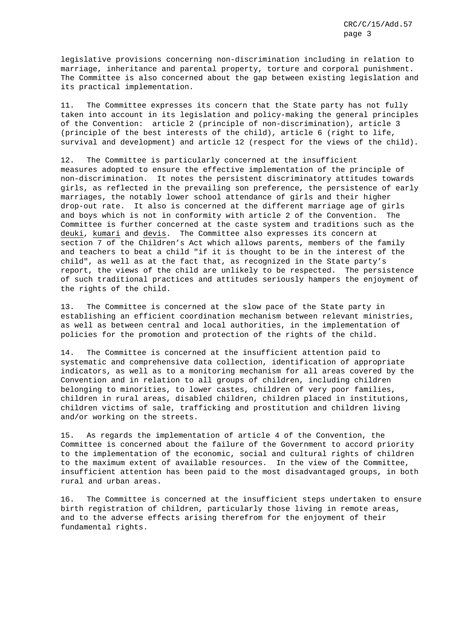legislative provisions concerning non-discrimination including in relation to marriage, inheritance and parental property, torture and corporal punishment. The Committee is also concerned about the gap between existing legislation and its practical implementation.

11. The Committee expresses its concern that the State party has not fully taken into account in its legislation and policy-making the general principles of the Convention: article 2 (principle of non-discrimination), article 3 (principle of the best interests of the child), article 6 (right to life, survival and development) and article 12 (respect for the views of the child).

12. The Committee is particularly concerned at the insufficient measures adopted to ensure the effective implementation of the principle of non-discrimination. It notes the persistent discriminatory attitudes towards girls, as reflected in the prevailing son preference, the persistence of early marriages, the notably lower school attendance of girls and their higher drop-out rate. It also is concerned at the different marriage age of girls and boys which is not in conformity with article 2 of the Convention. The Committee is further concerned at the caste system and traditions such as the deuki, kumari and devis. The Committee also expresses its concern at section 7 of the Children's Act which allows parents, members of the family and teachers to beat a child "if it is thought to be in the interest of the child", as well as at the fact that, as recognized in the State party's report, the views of the child are unlikely to be respected. The persistence of such traditional practices and attitudes seriously hampers the enjoyment of the rights of the child.

13. The Committee is concerned at the slow pace of the State party in establishing an efficient coordination mechanism between relevant ministries, as well as between central and local authorities, in the implementation of policies for the promotion and protection of the rights of the child.

14. The Committee is concerned at the insufficient attention paid to systematic and comprehensive data collection, identification of appropriate indicators, as well as to a monitoring mechanism for all areas covered by the Convention and in relation to all groups of children, including children belonging to minorities, to lower castes, children of very poor families, children in rural areas, disabled children, children placed in institutions, children victims of sale, trafficking and prostitution and children living and/or working on the streets.

15. As regards the implementation of article 4 of the Convention, the Committee is concerned about the failure of the Government to accord priority to the implementation of the economic, social and cultural rights of children to the maximum extent of available resources. In the view of the Committee, insufficient attention has been paid to the most disadvantaged groups, in both rural and urban areas.

16. The Committee is concerned at the insufficient steps undertaken to ensure birth registration of children, particularly those living in remote areas, and to the adverse effects arising therefrom for the enjoyment of their fundamental rights.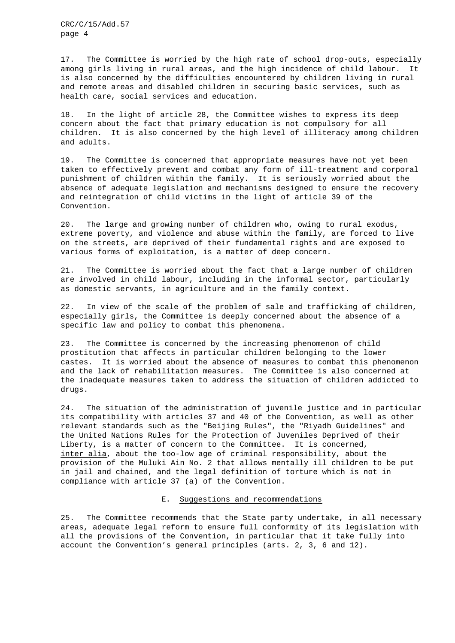CRC/C/15/Add.57 page 4

17. The Committee is worried by the high rate of school drop-outs, especially among girls living in rural areas, and the high incidence of child labour. It is also concerned by the difficulties encountered by children living in rural and remote areas and disabled children in securing basic services, such as health care, social services and education.

18. In the light of article 28, the Committee wishes to express its deep concern about the fact that primary education is not compulsory for all children. It is also concerned by the high level of illiteracy among children and adults.

19. The Committee is concerned that appropriate measures have not yet been taken to effectively prevent and combat any form of ill-treatment and corporal punishment of children within the family. It is seriously worried about the absence of adequate legislation and mechanisms designed to ensure the recovery and reintegration of child victims in the light of article 39 of the Convention.

20. The large and growing number of children who, owing to rural exodus, extreme poverty, and violence and abuse within the family, are forced to live on the streets, are deprived of their fundamental rights and are exposed to various forms of exploitation, is a matter of deep concern.

21. The Committee is worried about the fact that a large number of children are involved in child labour, including in the informal sector, particularly as domestic servants, in agriculture and in the family context.

22. In view of the scale of the problem of sale and trafficking of children, especially girls, the Committee is deeply concerned about the absence of a specific law and policy to combat this phenomena.

23. The Committee is concerned by the increasing phenomenon of child prostitution that affects in particular children belonging to the lower castes. It is worried about the absence of measures to combat this phenomenon and the lack of rehabilitation measures. The Committee is also concerned at the inadequate measures taken to address the situation of children addicted to drugs.

24. The situation of the administration of juvenile justice and in particular its compatibility with articles 37 and 40 of the Convention, as well as other relevant standards such as the "Beijing Rules", the "Riyadh Guidelines" and the United Nations Rules for the Protection of Juveniles Deprived of their Liberty, is a matter of concern to the Committee. It is concerned, inter alia, about the too-low age of criminal responsibility, about the provision of the Muluki Ain No. 2 that allows mentally ill children to be put in jail and chained, and the legal definition of torture which is not in compliance with article 37 (a) of the Convention.

#### E. Suggestions and recommendations

25. The Committee recommends that the State party undertake, in all necessary areas, adequate legal reform to ensure full conformity of its legislation with all the provisions of the Convention, in particular that it take fully into account the Convention's general principles (arts. 2, 3, 6 and 12).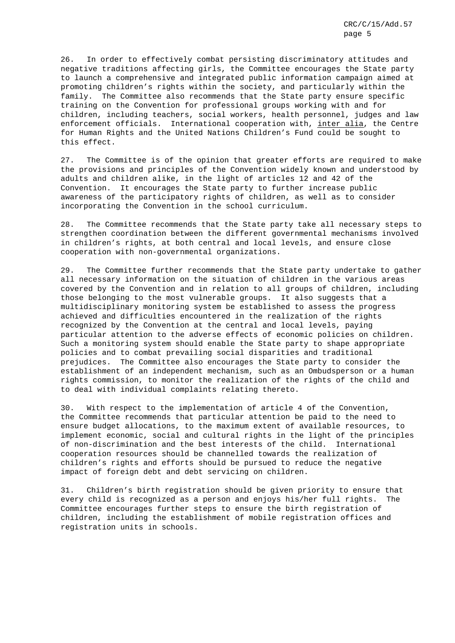26. In order to effectively combat persisting discriminatory attitudes and negative traditions affecting girls, the Committee encourages the State party to launch a comprehensive and integrated public information campaign aimed at promoting children's rights within the society, and particularly within the family. The Committee also recommends that the State party ensure specific training on the Convention for professional groups working with and for children, including teachers, social workers, health personnel, judges and law enforcement officials. International cooperation with, inter alia, the Centre for Human Rights and the United Nations Children's Fund could be sought to this effect.

27. The Committee is of the opinion that greater efforts are required to make the provisions and principles of the Convention widely known and understood by adults and children alike, in the light of articles 12 and 42 of the Convention. It encourages the State party to further increase public awareness of the participatory rights of children, as well as to consider incorporating the Convention in the school curriculum.

28. The Committee recommends that the State party take all necessary steps to strengthen coordination between the different governmental mechanisms involved in children's rights, at both central and local levels, and ensure close cooperation with non-governmental organizations.

29. The Committee further recommends that the State party undertake to gather all necessary information on the situation of children in the various areas covered by the Convention and in relation to all groups of children, including those belonging to the most vulnerable groups. It also suggests that a multidisciplinary monitoring system be established to assess the progress achieved and difficulties encountered in the realization of the rights recognized by the Convention at the central and local levels, paying particular attention to the adverse effects of economic policies on children. Such a monitoring system should enable the State party to shape appropriate policies and to combat prevailing social disparities and traditional prejudices. The Committee also encourages the State party to consider the establishment of an independent mechanism, such as an Ombudsperson or a human rights commission, to monitor the realization of the rights of the child and to deal with individual complaints relating thereto.

30. With respect to the implementation of article 4 of the Convention, the Committee recommends that particular attention be paid to the need to ensure budget allocations, to the maximum extent of available resources, to implement economic, social and cultural rights in the light of the principles of non-discrimination and the best interests of the child. International cooperation resources should be channelled towards the realization of children's rights and efforts should be pursued to reduce the negative impact of foreign debt and debt servicing on children.

31. Children's birth registration should be given priority to ensure that every child is recognized as a person and enjoys his/her full rights. The Committee encourages further steps to ensure the birth registration of children, including the establishment of mobile registration offices and registration units in schools.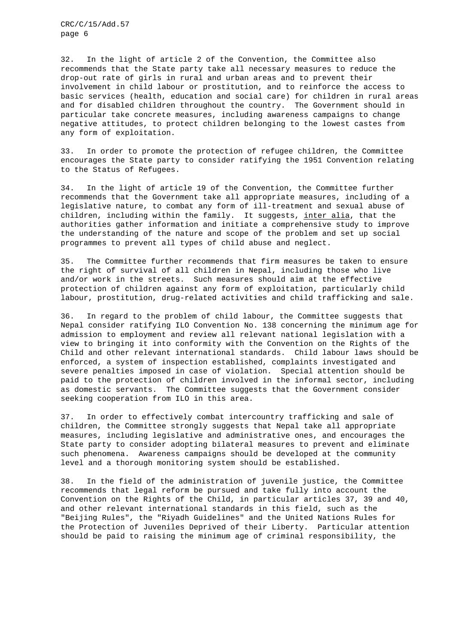CRC/C/15/Add.57 page 6

32. In the light of article 2 of the Convention, the Committee also recommends that the State party take all necessary measures to reduce the drop-out rate of girls in rural and urban areas and to prevent their involvement in child labour or prostitution, and to reinforce the access to basic services (health, education and social care) for children in rural areas and for disabled children throughout the country. The Government should in particular take concrete measures, including awareness campaigns to change negative attitudes, to protect children belonging to the lowest castes from any form of exploitation.

33. In order to promote the protection of refugee children, the Committee encourages the State party to consider ratifying the 1951 Convention relating to the Status of Refugees.

34. In the light of article 19 of the Convention, the Committee further recommends that the Government take all appropriate measures, including of a legislative nature, to combat any form of ill-treatment and sexual abuse of children, including within the family. It suggests, inter alia, that the authorities gather information and initiate a comprehensive study to improve the understanding of the nature and scope of the problem and set up social programmes to prevent all types of child abuse and neglect.

35. The Committee further recommends that firm measures be taken to ensure the right of survival of all children in Nepal, including those who live and/or work in the streets. Such measures should aim at the effective protection of children against any form of exploitation, particularly child labour, prostitution, drug-related activities and child trafficking and sale.

36. In regard to the problem of child labour, the Committee suggests that Nepal consider ratifying ILO Convention No. 138 concerning the minimum age for admission to employment and review all relevant national legislation with a view to bringing it into conformity with the Convention on the Rights of the Child and other relevant international standards. Child labour laws should be enforced, a system of inspection established, complaints investigated and severe penalties imposed in case of violation. Special attention should be paid to the protection of children involved in the informal sector, including as domestic servants. The Committee suggests that the Government consider seeking cooperation from ILO in this area.

37. In order to effectively combat intercountry trafficking and sale of children, the Committee strongly suggests that Nepal take all appropriate measures, including legislative and administrative ones, and encourages the State party to consider adopting bilateral measures to prevent and eliminate such phenomena. Awareness campaigns should be developed at the community level and a thorough monitoring system should be established.

38. In the field of the administration of juvenile justice, the Committee recommends that legal reform be pursued and take fully into account the Convention on the Rights of the Child, in particular articles 37, 39 and 40, and other relevant international standards in this field, such as the "Beijing Rules", the "Riyadh Guidelines" and the United Nations Rules for the Protection of Juveniles Deprived of their Liberty. Particular attention should be paid to raising the minimum age of criminal responsibility, the